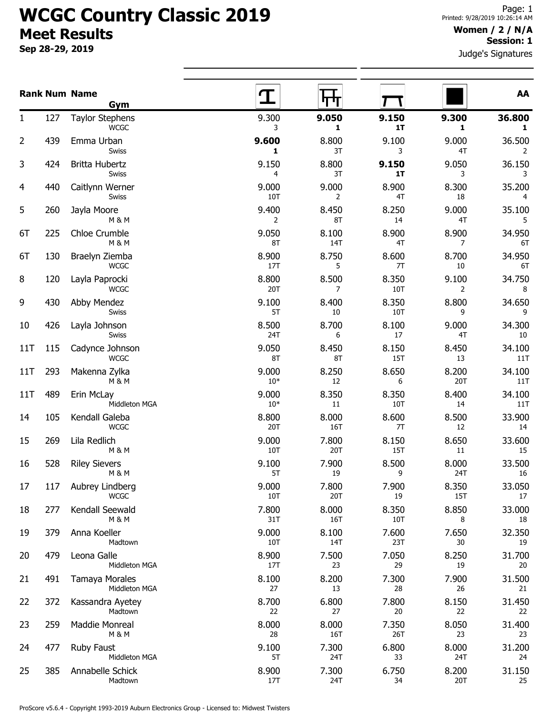## WCGC Country Classic 2019 Meet Results

Sep 28-29, 2019

## Women / 2 / N/A Session: 1

Judge's Signatures

|                |     | <b>Rank Num Name</b><br>Gym              |                |              |              |                       | AA            |
|----------------|-----|------------------------------------------|----------------|--------------|--------------|-----------------------|---------------|
| 1              | 127 | <b>Taylor Stephens</b><br><b>WCGC</b>    | 9.300<br>3     | 9.050<br>1   | 9.150<br>1T  | 9.300<br>$\mathbf{1}$ | 36.800<br>1   |
| $\overline{2}$ | 439 | Emma Urban<br><b>Swiss</b>               | 9.600<br>1     | 8.800<br>3T  | 9.100<br>3   | 9.000<br>4T           | 36.500<br>2   |
| 3              | 424 | Britta Hubertz<br>Swiss                  | 9.150<br>4     | 8.800<br>3T  | 9.150<br>1T  | 9.050<br>3            | 36.150<br>3   |
| $\overline{4}$ | 440 | Caitlynn Werner<br>Swiss                 | 9.000<br>10T   | 9.000<br>2   | 8.900<br>4T  | 8.300<br>18           | 35.200<br>4   |
| 5              | 260 | Jayla Moore<br><b>M &amp; M</b>          | 9.400<br>2     | 8.450<br>8T  | 8.250<br>14  | 9.000<br>4T           | 35.100<br>5   |
| 6T             | 225 | Chloe Crumble<br>M & M                   | 9.050<br>8T    | 8.100<br>14T | 8.900<br>4T  | 8.900<br>7            | 34.950<br>6T  |
| 6T             | 130 | Braelyn Ziemba<br><b>WCGC</b>            | 8.900<br>17T   | 8.750<br>5   | 8.600<br>7T  | 8.700<br>10           | 34.950<br>6T  |
| 8              | 120 | Layla Paprocki<br><b>WCGC</b>            | 8.800<br>20T   | 8.500<br>7   | 8.350<br>10T | 9.100<br>2            | 34.750<br>8   |
| 9              | 430 | Abby Mendez<br>Swiss                     | 9.100<br>5T    | 8.400<br>10  | 8.350<br>10T | 8.800<br>9            | 34.650<br>9   |
| 10             | 426 | Layla Johnson<br><b>Swiss</b>            | 8.500<br>24T   | 8.700<br>6   | 8.100<br>17  | 9.000<br>4T           | 34.300<br>10  |
| 11T            | 115 | Cadynce Johnson<br><b>WCGC</b>           | 9.050<br>8T    | 8.450<br>8T  | 8.150<br>15T | 8.450<br>13           | 34.100<br>11T |
| 11T            | 293 | Makenna Zylka<br><b>M &amp; M</b>        | 9.000<br>$10*$ | 8.250<br>12  | 8.650<br>6   | 8.200<br>20T          | 34.100<br>11T |
| 11T            | 489 | Erin McLay<br>Middleton MGA              | 9.000<br>$10*$ | 8.350<br>11  | 8.350<br>10T | 8.400<br>14           | 34.100<br>11T |
| 14             | 105 | Kendall Galeba<br><b>WCGC</b>            | 8.800<br>20T   | 8.000<br>16T | 8.600<br>7T  | 8.500<br>12           | 33.900<br>14  |
| 15             | 269 | Lila Redlich<br>M & M                    | 9.000<br>10T   | 7.800<br>20T | 8.150<br>15T | 8.650<br>11           | 33.600<br>15  |
| 16             | 528 | <b>Riley Sievers</b><br><b>M &amp; M</b> | 9.100<br>5T    | 7.900<br>19  | 8.500<br>9   | 8.000<br>24T          | 33.500<br>16  |
| 17             | 117 | Aubrey Lindberg<br><b>WCGC</b>           | 9.000<br>10T   | 7.800<br>20T | 7.900<br>19  | 8.350<br>15T          | 33.050<br>17  |
| 18             | 277 | Kendall Seewald<br>M & M                 | 7.800<br>31T   | 8.000<br>16T | 8.350<br>10T | 8.850<br>8            | 33.000<br>18  |
| 19             | 379 | Anna Koeller<br>Madtown                  | 9.000<br>10T   | 8.100<br>14T | 7.600<br>23T | 7.650<br>30           | 32.350<br>19  |
| 20             | 479 | Leona Galle<br>Middleton MGA             | 8.900<br>17T   | 7.500<br>23  | 7.050<br>29  | 8.250<br>19           | 31.700<br>20  |
| 21             | 491 | Tamaya Morales<br>Middleton MGA          | 8.100<br>27    | 8.200<br>13  | 7.300<br>28  | 7.900<br>26           | 31.500<br>21  |
| 22             | 372 | Kassandra Ayetey<br>Madtown              | 8.700<br>22    | 6.800<br>27  | 7.800<br>20  | 8.150<br>22           | 31.450<br>22  |
| 23             | 259 | Maddie Monreal<br>M & M                  | 8.000<br>28    | 8.000<br>16T | 7.350<br>26T | 8.050<br>23           | 31.400<br>23  |
| 24             | 477 | <b>Ruby Faust</b><br>Middleton MGA       | 9.100<br>5T    | 7.300<br>24T | 6.800<br>33  | 8.000<br>24T          | 31.200<br>24  |
| 25             | 385 | Annabelle Schick<br>Madtown              | 8.900<br>17T   | 7.300<br>24T | 6.750<br>34  | 8.200<br>20T          | 31.150<br>25  |